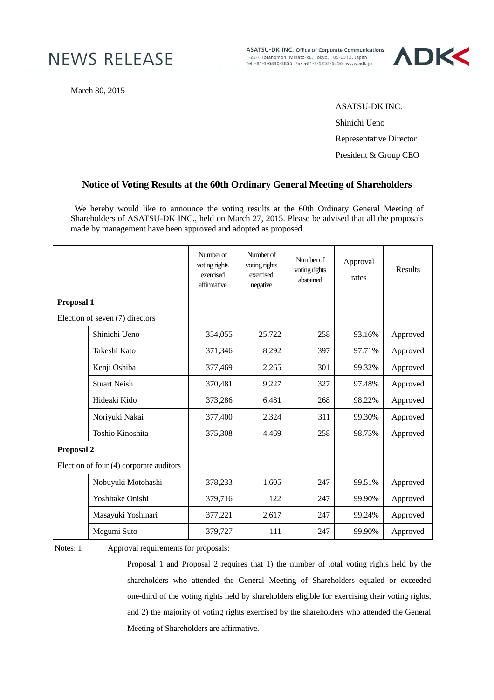ASATSU-DK INC. Office of Corporate Communications 1-23-1 Toranomon, Minato-ku, Tokyo, 105-6312, Japan<br>Tel +81-3-6830-3855 Fax +81-3-5253-6456 www.adk.jp



March 30, 2015

ASATSU-DK INC. Shinichi Ueno

Representative Director

President & Group CEO

## **Notice of Voting Results at the 60th Ordinary General Meeting of Shareholders**

We hereby would like to announce the voting results at the 60th Ordinary General Meeting of Shareholders of ASATSU-DK INC., held on March 27, 2015. Please be advised that all the proposals made by management have been approved and adopted as proposed.

|                                         |                     | Number of<br>voting rights<br>exercised<br>affirmative | Number of<br>voting rights<br>exercised<br>negative | Number of<br>voting rights<br>abstained | Approval<br>rates | <b>Results</b> |
|-----------------------------------------|---------------------|--------------------------------------------------------|-----------------------------------------------------|-----------------------------------------|-------------------|----------------|
| Proposal 1                              |                     |                                                        |                                                     |                                         |                   |                |
| Election of seven (7) directors         |                     |                                                        |                                                     |                                         |                   |                |
|                                         | Shinichi Ueno       | 354,055                                                | 25,722                                              | 258                                     | 93.16%            | Approved       |
|                                         | Takeshi Kato        | 371,346                                                | 8,292                                               | 397                                     | 97.71%            | Approved       |
|                                         | Kenji Oshiba        | 377,469                                                | 2,265                                               | 301                                     | 99.32%            | Approved       |
|                                         | <b>Stuart Neish</b> | 370,481                                                | 9,227                                               | 327                                     | 97.48%            | Approved       |
|                                         | Hideaki Kido        | 373,286                                                | 6,481                                               | 268                                     | 98.22%            | Approved       |
|                                         | Noriyuki Nakai      | 377,400                                                | 2,324                                               | 311                                     | 99.30%            | Approved       |
|                                         | Toshio Kinoshita    | 375,308                                                | 4,469                                               | 258                                     | 98.75%            | Approved       |
| Proposal 2                              |                     |                                                        |                                                     |                                         |                   |                |
| Election of four (4) corporate auditors |                     |                                                        |                                                     |                                         |                   |                |
|                                         | Nobuyuki Motohashi  | 378,233                                                | 1,605                                               | 247                                     | 99.51%            | Approved       |
|                                         | Yoshitake Onishi    | 379,716                                                | 122                                                 | 247                                     | 99.90%            | Approved       |
|                                         | Masayuki Yoshinari  | 377,221                                                | 2,617                                               | 247                                     | 99.24%            | Approved       |
|                                         | Megumi Suto         | 379,727                                                | 111                                                 | 247                                     | 99.90%            | Approved       |

Notes: 1 Approval requirements for proposals:

Proposal 1 and Proposal 2 requires that 1) the number of total voting rights held by the shareholders who attended the General Meeting of Shareholders equaled or exceeded one-third of the voting rights held by shareholders eligible for exercising their voting rights, and 2) the majority of voting rights exercised by the shareholders who attended the General Meeting of Shareholders are affirmative.